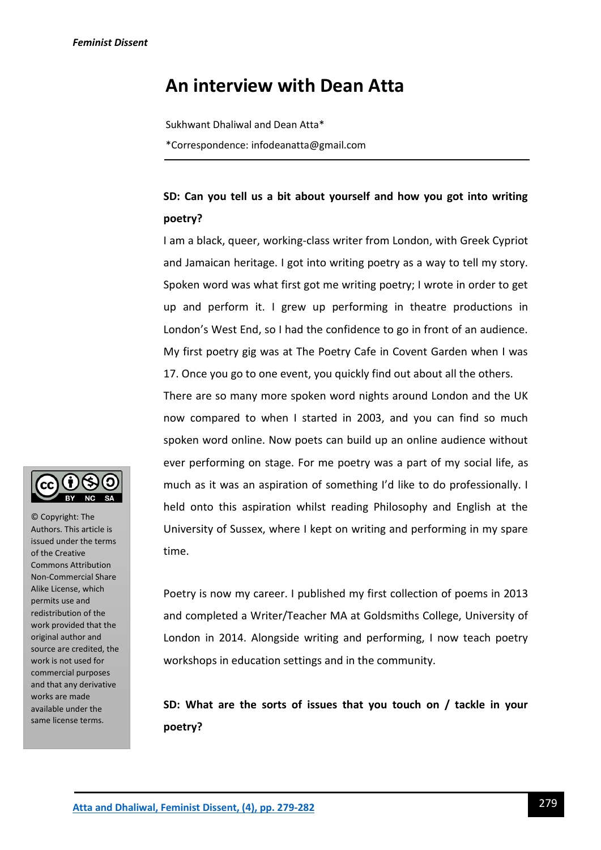## **An interview with Dean Atta**

Sukhwant Dhaliwal and Dean Atta\* \*Correspondence: infodeanatta@gmail.com

## **SD: Can you tell us a bit about yourself and how you got into writing poetry?**

I am a black, queer, working-class writer from London, with Greek Cypriot and Jamaican heritage. I got into writing poetry as a way to tell my story. Spoken word was what first got me writing poetry; I wrote in order to get up and perform it. I grew up performing in theatre productions in London's West End, so I had the confidence to go in front of an audience. My first poetry gig was at The Poetry Cafe in Covent Garden when I was 17. Once you go to one event, you quickly find out about all the others.

There are so many more spoken word nights around London and the UK now compared to when I started in 2003, and you can find so much spoken word online. Now poets can build up an online audience without ever performing on stage. For me poetry was a part of my social life, as much as it was an aspiration of something I'd like to do professionally. I held onto this aspiration whilst reading Philosophy and English at the University of Sussex, where I kept on writing and performing in my spare time.

Poetry is now my career. I published my first collection of poems in 2013 and completed a Writer/Teacher MA at Goldsmiths College, University of London in 2014. Alongside writing and performing, I now teach poetry workshops in education settings and in the community.

**SD: What are the sorts of issues that you touch on / tackle in your poetry?**



© Copyright: The Authors. This article is issued under the terms of the Creative Commons Attribution Non-Commercial Share Alike License, which permits use and redistribution of the work provided that the original author and source are credited, the work is not used for commercial purposes and that any derivative works are made available under the same license terms.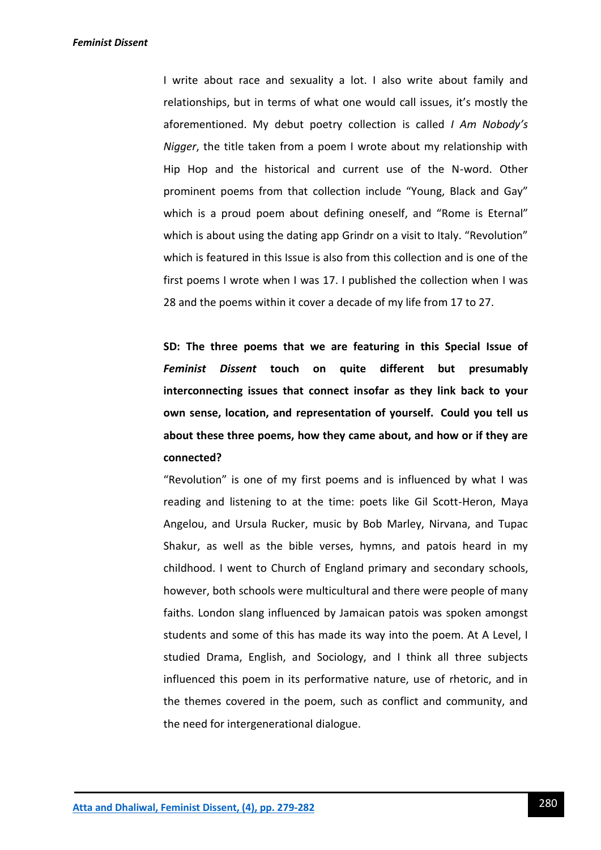*Feminist Dissent*

I write about race and sexuality a lot. I also write about family and relationships, but in terms of what one would call issues, it's mostly the aforementioned. My debut poetry collection is called *I Am Nobody's Nigger*, the title taken from a poem I wrote about my relationship with Hip Hop and the historical and current use of the N-word. Other prominent poems from that collection include "Young, Black and Gay" which is a proud poem about defining oneself, and "Rome is Eternal" which is about using the dating app Grindr on a visit to Italy. "Revolution" which is featured in this Issue is also from this collection and is one of the first poems I wrote when I was 17. I published the collection when I was 28 and the poems within it cover a decade of my life from 17 to 27.

**SD: The three poems that we are featuring in this Special Issue of**  *Feminist Dissent* **touch on quite different but presumably interconnecting issues that connect insofar as they link back to your own sense, location, and representation of yourself. Could you tell us about these three poems, how they came about, and how or if they are connected?**

"Revolution" is one of my first poems and is influenced by what I was reading and listening to at the time: poets like Gil Scott-Heron, Maya Angelou, and Ursula Rucker, music by Bob Marley, Nirvana, and Tupac Shakur, as well as the bible verses, hymns, and patois heard in my childhood. I went to Church of England primary and secondary schools, however, both schools were multicultural and there were people of many faiths. London slang influenced by Jamaican patois was spoken amongst students and some of this has made its way into the poem. At A Level, I studied Drama, English, and Sociology, and I think all three subjects influenced this poem in its performative nature, use of rhetoric, and in the themes covered in the poem, such as conflict and community, and the need for intergenerational dialogue.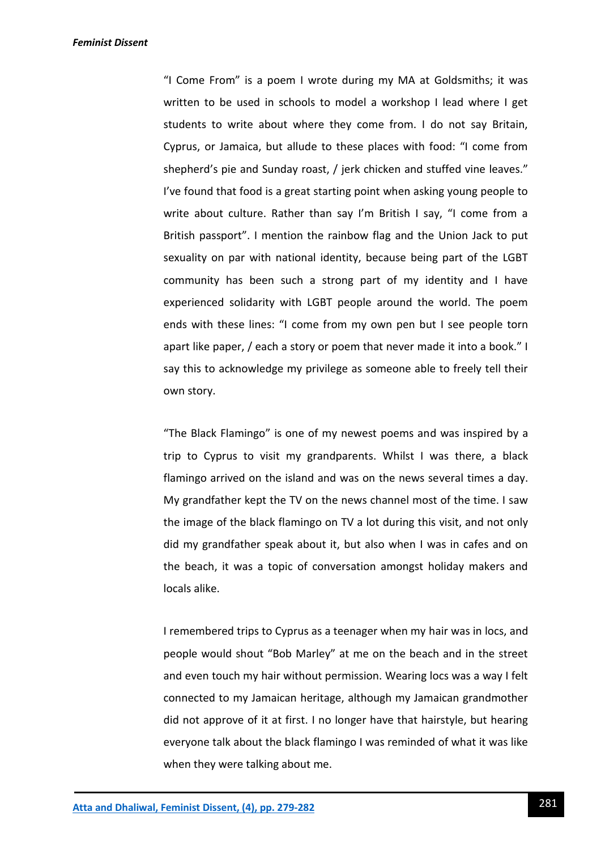*Feminist Dissent*

"I Come From" is a poem I wrote during my MA at Goldsmiths; it was written to be used in schools to model a workshop I lead where I get students to write about where they come from. I do not say Britain, Cyprus, or Jamaica, but allude to these places with food: "I come from shepherd's pie and Sunday roast, / jerk chicken and stuffed vine leaves." I've found that food is a great starting point when asking young people to write about culture. Rather than say I'm British I say, "I come from a British passport". I mention the rainbow flag and the Union Jack to put sexuality on par with national identity, because being part of the LGBT community has been such a strong part of my identity and I have experienced solidarity with LGBT people around the world. The poem ends with these lines: "I come from my own pen but I see people torn apart like paper, / each a story or poem that never made it into a book." I say this to acknowledge my privilege as someone able to freely tell their own story.

"The Black Flamingo" is one of my newest poems and was inspired by a trip to Cyprus to visit my grandparents. Whilst I was there, a black flamingo arrived on the island and was on the news several times a day. My grandfather kept the TV on the news channel most of the time. I saw the image of the black flamingo on TV a lot during this visit, and not only did my grandfather speak about it, but also when I was in cafes and on the beach, it was a topic of conversation amongst holiday makers and locals alike.

I remembered trips to Cyprus as a teenager when my hair was in locs, and people would shout "Bob Marley" at me on the beach and in the street and even touch my hair without permission. Wearing locs was a way I felt connected to my Jamaican heritage, although my Jamaican grandmother did not approve of it at first. I no longer have that hairstyle, but hearing everyone talk about the black flamingo I was reminded of what it was like when they were talking about me.